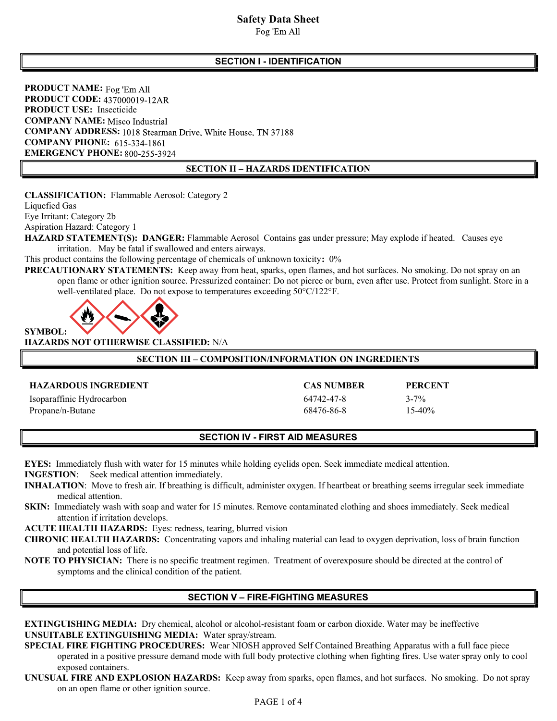Fog 'Em All

## SECTION I - IDENTIFICATION

PRODUCT NAME: Fog 'Em All PRODUCT CODE: 437000019-12AR PRODUCT USE: Insecticide **COMPANY NAME:** Misco Industrial COMPANY ADDRESS: 1018 Stearman Drive, White House, TN 37188 **COMPANY PHONE: 615-334-1861** EMERGENCY PHONE: 800-255-3924

### SECTION II – HAZARDS IDENTIFICATION

CLASSIFICATION: Flammable Aerosol: Category 2

Liquefied Gas

Eye Irritant: Category 2b

Aspiration Hazard: Category 1

HAZARD STATEMENT(S): DANGER: Flammable Aerosol Contains gas under pressure; May explode if heated. Causes eye irritation. May be fatal if swallowed and enters airways.

This product contains the following percentage of chemicals of unknown toxicity: 0%

PRECAUTIONARY STATEMENTS: Keep away from heat, sparks, open flames, and hot surfaces. No smoking. Do not spray on an open flame or other ignition source. Pressurized container: Do not pierce or burn, even after use. Protect from sunlight. Store in a well-ventilated place. Do not expose to temperatures exceeding 50°C/122°F.



HAZARDS NOT OTHERWISE CLASSIFIED: N/A

## SECTION III – COMPOSITION/INFORMATION ON INGREDIENTS

### HAZARDOUS INGREDIENT CAS NUMBER PERCENT

| <b>HAZARDOUS INGREDIENT</b> | <b>CAS NUMBER</b> | <b>PERCE</b> |
|-----------------------------|-------------------|--------------|
| Isoparaffinic Hydrocarbon   | 64742-47-8        | $3 - 7\%$    |
| Propane/n-Butane            | 68476-86-8        | 15-40%       |

### SECTION IV - FIRST AID MEASURES

EYES: Immediately flush with water for 15 minutes while holding eyelids open. Seek immediate medical attention.

INGESTION: Seek medical attention immediately.

INHALATION: Move to fresh air. If breathing is difficult, administer oxygen. If heartbeat or breathing seems irregular seek immediate medical attention.

SKIN: Immediately wash with soap and water for 15 minutes. Remove contaminated clothing and shoes immediately. Seek medical attention if irritation develops.

ACUTE HEALTH HAZARDS: Eyes: redness, tearing, blurred vision

- CHRONIC HEALTH HAZARDS: Concentrating vapors and inhaling material can lead to oxygen deprivation, loss of brain function and potential loss of life.
- NOTE TO PHYSICIAN: There is no specific treatment regimen. Treatment of overexposure should be directed at the control of symptoms and the clinical condition of the patient.

# SECTION V – FIRE-FIGHTING MEASURES

- EXTINGUISHING MEDIA: Dry chemical, alcohol or alcohol-resistant foam or carbon dioxide. Water may be ineffective UNSUITABLE EXTINGUISHING MEDIA: Water spray/stream.
- SPECIAL FIRE FIGHTING PROCEDURES: Wear NIOSH approved Self Contained Breathing Apparatus with a full face piece operated in a positive pressure demand mode with full body protective clothing when fighting fires. Use water spray only to cool exposed containers.
- UNUSUAL FIRE AND EXPLOSION HAZARDS: Keep away from sparks, open flames, and hot surfaces. No smoking. Do not spray on an open flame or other ignition source.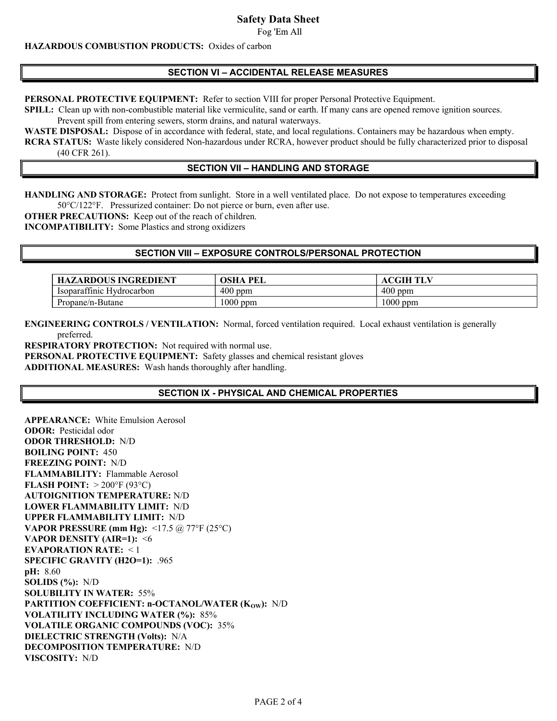Fog 'Em All

## HAZARDOUS COMBUSTION PRODUCTS: Oxides of carbon

## SECTION VI – ACCIDENTAL RELEASE MEASURES

PERSONAL PROTECTIVE EQUIPMENT: Refer to section VIII for proper Personal Protective Equipment.

SPILL: Clean up with non-combustible material like vermiculite, sand or earth. If many cans are opened remove ignition sources.

Prevent spill from entering sewers, storm drains, and natural waterways.

WASTE DISPOSAL: Dispose of in accordance with federal, state, and local regulations. Containers may be hazardous when empty. RCRA STATUS: Waste likely considered Non-hazardous under RCRA, however product should be fully characterized prior to disposal (40 CFR 261).

## SECTION VII – HANDLING AND STORAGE

HANDLING AND STORAGE: Protect from sunlight. Store in a well ventilated place. Do not expose to temperatures exceeding 50°C/122°F. Pressurized container: Do not pierce or burn, even after use.

OTHER PRECAUTIONS: Keep out of the reach of children.

INCOMPATIBILITY: Some Plastics and strong oxidizers

## SECTION VIII – EXPOSURE CONTROLS/PERSONAL PROTECTION

| <b>HAZARDOUS INGREDIENT</b> | OSHA<br>PEL | <b>ACGIH TLV</b> |
|-----------------------------|-------------|------------------|
| Isoparattinic Hydrocarbon   | 400<br>ppm  | $400$ ppm        |
| Propane/n-Butane            | 1000 ppm    | $1000$ ppm       |

ENGINEERING CONTROLS / VENTILATION: Normal, forced ventilation required. Local exhaust ventilation is generally preferred.

RESPIRATORY PROTECTION: Not required with normal use.

PERSONAL PROTECTIVE EQUIPMENT: Safety glasses and chemical resistant gloves ADDITIONAL MEASURES: Wash hands thoroughly after handling.

# SECTION IX - PHYSICAL AND CHEMICAL PROPERTIES

APPEARANCE: White Emulsion Aerosol ODOR: Pesticidal odor ODOR THRESHOLD: N/D BOILING POINT: 450 FREEZING POINT: N/D FLAMMABILITY: Flammable Aerosol FLASH POINT:  $>200^{\circ}F(93^{\circ}C)$ AUTOIGNITION TEMPERATURE: N/D LOWER FLAMMABILITY LIMIT: N/D UPPER FLAMMABILITY LIMIT: N/D VAPOR PRESSURE (mm Hg):  $\langle 17.5 \rangle$  ( $\partial$ ,  $77^{\circ}$ F (25°C) VAPOR DENSITY (AIR=1): <6 EVAPORATION RATE: < 1 SPECIFIC GRAVITY (H2O=1): .965 pH: 8.60 SOLIDS  $(\%): N/D$ SOLUBILITY IN WATER: 55% PARTITION COEFFICIENT: n-OCTANOL/WATER (Kow): N/D VOLATILITY INCLUDING WATER (%): 85% VOLATILE ORGANIC COMPOUNDS (VOC): 35% DIELECTRIC STRENGTH (Volts): N/A DECOMPOSITION TEMPERATURE: N/D VISCOSITY: N/D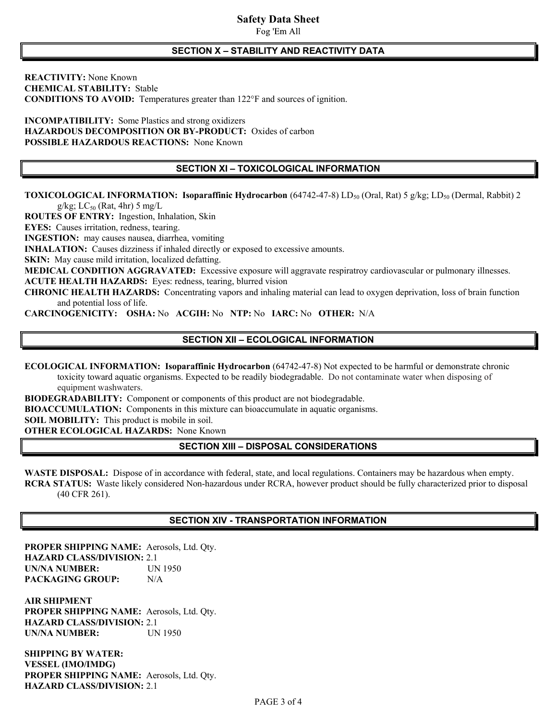Fog 'Em All

#### SECTION X – STABILITY AND REACTIVITY DATA

REACTIVITY: None Known CHEMICAL STABILITY: Stable CONDITIONS TO AVOID: Temperatures greater than 122°F and sources of ignition.

INCOMPATIBILITY: Some Plastics and strong oxidizers HAZARDOUS DECOMPOSITION OR BY-PRODUCT: Oxides of carbon POSSIBLE HAZARDOUS REACTIONS: None Known

## SECTION XI – TOXICOLOGICAL INFORMATION

TOXICOLOGICAL INFORMATION: Isoparaffinic Hydrocarbon (64742-47-8) LD<sub>50</sub> (Oral, Rat) 5 g/kg; LD<sub>50</sub> (Dermal, Rabbit) 2

g/kg; LC $_{50}$  (Rat, 4hr) 5 mg/L

ROUTES OF ENTRY: Ingestion, Inhalation, Skin

EYES: Causes irritation, redness, tearing.

INGESTION: may causes nausea, diarrhea, vomiting

INHALATION: Causes dizziness if inhaled directly or exposed to excessive amounts.

SKIN: May cause mild irritation, localized defatting.

MEDICAL CONDITION AGGRAVATED: Excessive exposure will aggravate respiratroy cardiovascular or pulmonary illnesses. ACUTE HEALTH HAZARDS: Eyes: redness, tearing, blurred vision

CHRONIC HEALTH HAZARDS: Concentrating vapors and inhaling material can lead to oxygen deprivation, loss of brain function and potential loss of life.

CARCINOGENICITY: OSHA: No ACGIH: No NTP: No IARC: No OTHER: N/A

### SECTION XII – ECOLOGICAL INFORMATION

ECOLOGICAL INFORMATION: Isoparaffinic Hydrocarbon (64742-47-8) Not expected to be harmful or demonstrate chronic toxicity toward aquatic organisms. Expected to be readily biodegradable. Do not contaminate water when disposing of equipment washwaters.

BIODEGRADABILITY: Component or components of this product are not biodegradable.

BIOACCUMULATION: Components in this mixture can bioaccumulate in aquatic organisms.

SOIL MOBILITY: This product is mobile in soil.

OTHER ECOLOGICAL HAZARDS: None Known

### SECTION XIII – DISPOSAL CONSIDERATIONS

WASTE DISPOSAL: Dispose of in accordance with federal, state, and local regulations. Containers may be hazardous when empty. RCRA STATUS: Waste likely considered Non-hazardous under RCRA, however product should be fully characterized prior to disposal (40 CFR 261).

# SECTION XIV - TRANSPORTATION INFORMATION

PROPER SHIPPING NAME: Aerosols, Ltd. Qty. HAZARD CLASS/DIVISION: 2.1 UN/NA NUMBER: UN 1950 PACKAGING GROUP: N/A

AIR SHIPMENT PROPER SHIPPING NAME: Aerosols, Ltd. Qty. HAZARD CLASS/DIVISION: 2.1 UN/NA NUMBER: UN 1950

SHIPPING BY WATER: VESSEL (IMO/IMDG) PROPER SHIPPING NAME: Aerosols, Ltd. Qty. HAZARD CLASS/DIVISION: 2.1